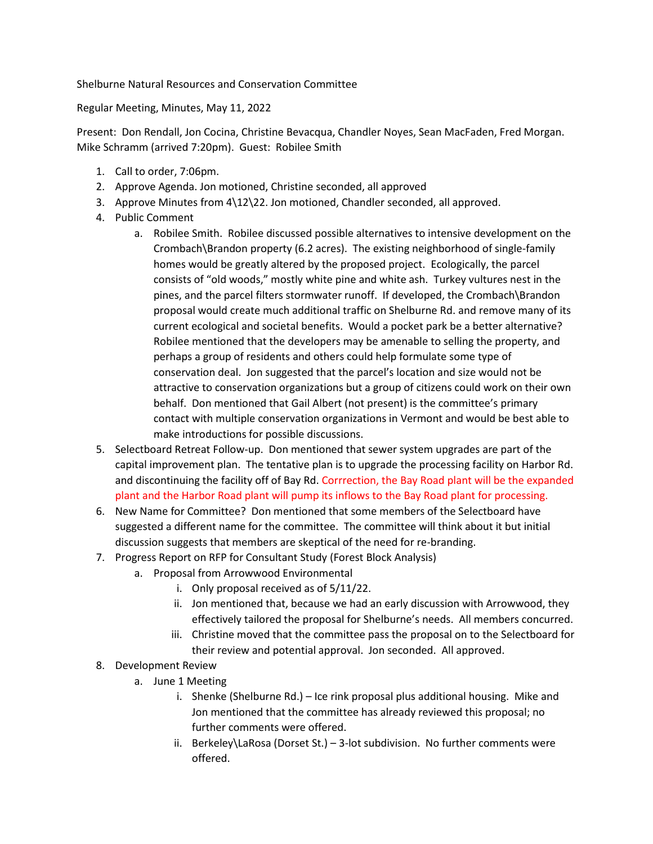Shelburne Natural Resources and Conservation Committee

Regular Meeting, Minutes, May 11, 2022

Present: Don Rendall, Jon Cocina, Christine Bevacqua, Chandler Noyes, Sean MacFaden, Fred Morgan. Mike Schramm (arrived 7:20pm). Guest: Robilee Smith

- 1. Call to order, 7:06pm.
- 2. Approve Agenda. Jon motioned, Christine seconded, all approved
- 3. Approve Minutes from 4\12\22. Jon motioned, Chandler seconded, all approved.
- 4. Public Comment
	- a. Robilee Smith. Robilee discussed possible alternatives to intensive development on the Crombach\Brandon property (6.2 acres). The existing neighborhood of single-family homes would be greatly altered by the proposed project. Ecologically, the parcel consists of "old woods," mostly white pine and white ash. Turkey vultures nest in the pines, and the parcel filters stormwater runoff. If developed, the Crombach\Brandon proposal would create much additional traffic on Shelburne Rd. and remove many of its current ecological and societal benefits. Would a pocket park be a better alternative? Robilee mentioned that the developers may be amenable to selling the property, and perhaps a group of residents and others could help formulate some type of conservation deal. Jon suggested that the parcel's location and size would not be attractive to conservation organizations but a group of citizens could work on their own behalf. Don mentioned that Gail Albert (not present) is the committee's primary contact with multiple conservation organizations in Vermont and would be best able to make introductions for possible discussions.
- 5. Selectboard Retreat Follow-up. Don mentioned that sewer system upgrades are part of the capital improvement plan. The tentative plan is to upgrade the processing facility on Harbor Rd. and discontinuing the facility off of Bay Rd. Corrrection, the Bay Road plant will be the expanded plant and the Harbor Road plant will pump its inflows to the Bay Road plant for processing.
- 6. New Name for Committee? Don mentioned that some members of the Selectboard have suggested a different name for the committee. The committee will think about it but initial discussion suggests that members are skeptical of the need for re-branding.
- 7. Progress Report on RFP for Consultant Study (Forest Block Analysis)
	- a. Proposal from Arrowwood Environmental
		- i. Only proposal received as of 5/11/22.
		- ii. Jon mentioned that, because we had an early discussion with Arrowwood, they effectively tailored the proposal for Shelburne's needs. All members concurred.
		- iii. Christine moved that the committee pass the proposal on to the Selectboard for their review and potential approval. Jon seconded. All approved.
- 8. Development Review
	- a. June 1 Meeting
		- i. Shenke (Shelburne Rd.) Ice rink proposal plus additional housing. Mike and Jon mentioned that the committee has already reviewed this proposal; no further comments were offered.
		- ii. Berkeley\LaRosa (Dorset St.) 3-lot subdivision. No further comments were offered.